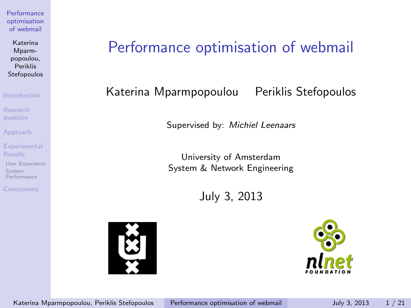Katerina Mparmpopoulou, Periklis Stefopoulos

[Introduction](#page-2-0)

[Research](#page-4-0) question

[Approach](#page-5-0)

**[Experimental](#page-8-0)** Results

[User Experience](#page-8-0) System [Performance](#page-15-0)

[Conclusions](#page-18-0)

# Performance optimisation of webmail

### Katerina Mparmpopoulou Periklis Stefopoulos

Supervised by: Michiel Leenaars

University of Amsterdam System & Network Engineering

July 3, 2013



<span id="page-0-0"></span>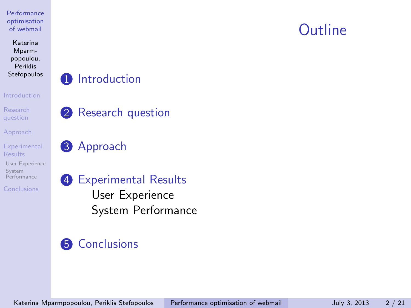Katerina Mparmpopoulou, Periklis Stefopoulos

#### [Introduction](#page-2-0)

[Research](#page-4-0) question

[Approach](#page-5-0)

**[Experimental](#page-8-0)** Results

[User Experience](#page-8-0) System [Performance](#page-15-0)

[Conclusions](#page-18-0)

### **1** [Introduction](#page-2-0)

**2** [Research question](#page-4-0)

**3** [Approach](#page-5-0)

# 4 [Experimental Results](#page-8-0)

[User Experience](#page-8-0) [System Performance](#page-15-0)

# **6** [Conclusions](#page-18-0)

Katerina Mparmpopoulou, Periklis Stefopoulos [Performance optimisation of webmail](#page-0-0) July 3, 2013 2/21

# Outline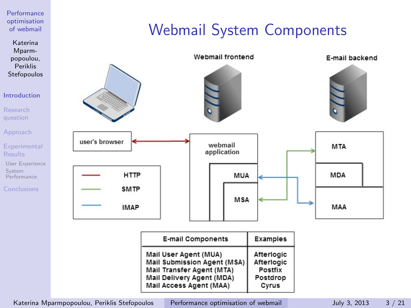Katerina Mparmpopoulou, Periklis Stefopoulos

#### [Introduction](#page-2-0)

[Research](#page-4-0) question

[Approach](#page-5-0)

**[Experimental](#page-8-0)** Results

[User Experience](#page-8-0) System [Performance](#page-15-0)

[Conclusions](#page-18-0)

# Webmail System Components



Katerina Mparmpopoulou, Periklis Stefopoulos [Performance optimisation of webmail](#page-0-0) July 3, 2013 3/21

<span id="page-2-0"></span>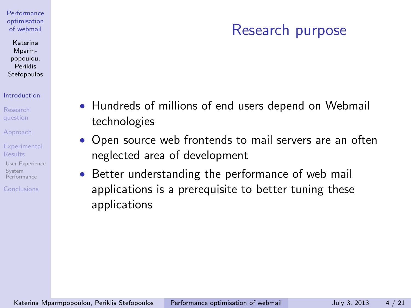#### Katerina Mparmpopoulou, Periklis Stefopoulos

#### [Introduction](#page-2-0)

[Approach](#page-5-0)

**[Experimental](#page-8-0)** Results

[User Experience](#page-8-0) System [Performance](#page-15-0)

[Conclusions](#page-18-0)

# Research purpose

- Hundreds of millions of end users depend on Webmail technologies
- Open source web frontends to mail servers are an often neglected area of development
- Better understanding the performance of web mail applications is a prerequisite to better tuning these applications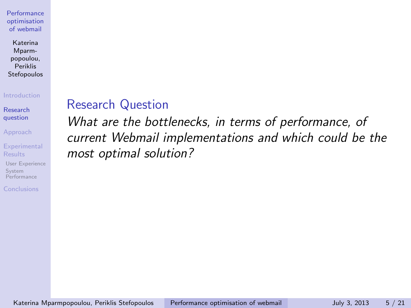Katerina Mparmpopoulou, Periklis Stefopoulos

#### [Introduction](#page-2-0)

[Research](#page-4-0) question

[Approach](#page-5-0)

**[Experimental](#page-8-0)** Results

[User Experience](#page-8-0) System [Performance](#page-15-0)

[Conclusions](#page-18-0)

## Research Question

<span id="page-4-0"></span>What are the bottlenecks, in terms of performance, of current Webmail implementations and which could be the most optimal solution?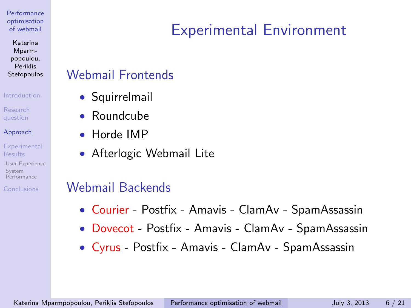Katerina Mparmpopoulou, Periklis **Stefopoulos** 

#### [Introduction](#page-2-0)

### [Approach](#page-5-0)

**[Experimental](#page-8-0)** Results

[User Experience](#page-8-0) System [Performance](#page-15-0)

[Conclusions](#page-18-0)

# Experimental Environment

### Webmail Frontends

- Squirrelmail
- Roundcube
- Horde IMP
- Afterlogic Webmail Lite

### Webmail Backends

- Courier Postfix Amavis ClamAv SpamAssassin
- Dovecot Postfix Amavis ClamAv SpamAssassin
- <span id="page-5-0"></span>• Cyrus - Postfix - Amavis - ClamAv - SpamAssassin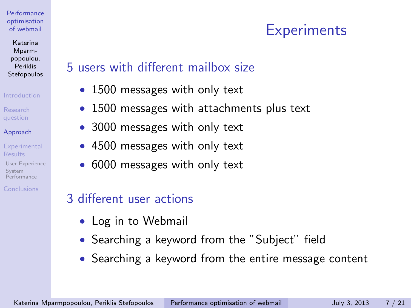Katerina Mparmpopoulou, Periklis Stefopoulos

#### [Introduction](#page-2-0)

### [Approach](#page-5-0)

**[Experimental](#page-8-0)** Results

[User Experience](#page-8-0) System [Performance](#page-15-0)

[Conclusions](#page-18-0)

## 5 users with different mailbox size

- 1500 messages with only text
- 1500 messages with attachments plus text
- 3000 messages with only text
- 4500 messages with only text
- 6000 messages with only text

## 3 different user actions

- Log in to Webmail
- Searching a keyword from the "Subject" field
- Searching a keyword from the entire message content

**Experiments**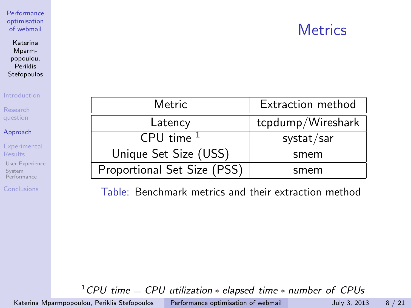# **Metrics**

**[Performance](#page-0-0)** optimisation of webmail

Katerina Mparmpopoulou, Periklis Stefopoulos

[Introduction](#page-2-0)

[Research](#page-4-0) question

[Approach](#page-5-0)

**[Experimental](#page-8-0)** Results

[User Experience](#page-8-0) System [Performance](#page-15-0)

[Conclusions](#page-18-0)

| Metric                      | Extraction method |
|-----------------------------|-------------------|
| Latency                     | tcpdump/Wireshark |
| CPU time <sup>1</sup>       | systat/sar        |
| Unique Set Size (USS)       | smem              |
| Proportional Set Size (PSS) | smem              |

Table: Benchmark metrics and their extraction method

 $1$ CPU time = CPU utilization  $*$  elapsed time  $*$  number of CPUs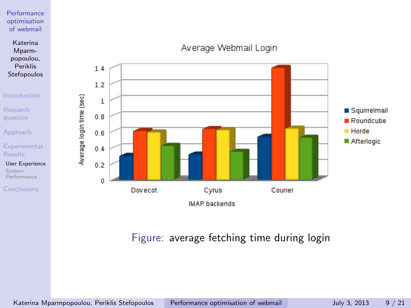Katerina Mparmpopoulou, Periklis Stefopoulos

[Introduction](#page-2-0)

[Research](#page-4-0) question

[Approach](#page-5-0)

**[Experimental](#page-8-0)** Results

[User Experience](#page-8-0) System [Performance](#page-15-0)

[Conclusions](#page-18-0)



### Average Webmail Login

### <span id="page-8-0"></span>Figure: average fetching time during login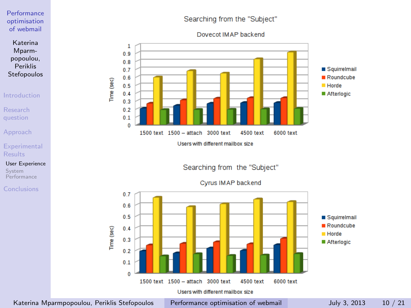Katerina Mparmpopoulou, Periklis Stefopoulos

#### [Introduction](#page-2-0)

[Research](#page-4-0) question

[Approach](#page-5-0)

**[Experimental](#page-8-0)** Results

[User Experience](#page-8-0) System [Performance](#page-15-0)

[Conclusions](#page-18-0)

### Searching from the "Subject"

Dovecot IMAP backend



Searching from the "Subject"

Cyrus IMAP backend



Katerina Mparmpopoulou, Periklis Stefopoulos [Performance optimisation of webmail](#page-0-0) July 3, 2013 10 / 21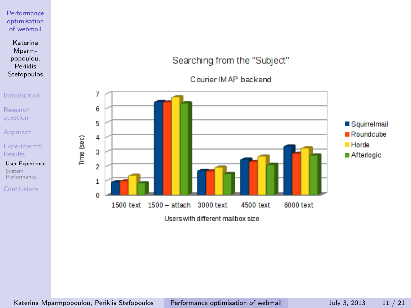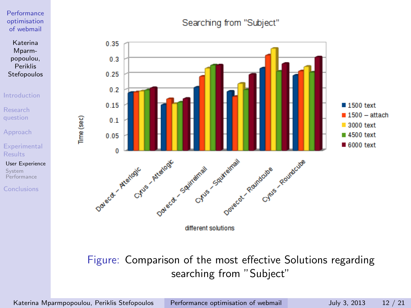

[Introduction](#page-2-0)

[Research](#page-4-0) question

[Approach](#page-5-0)

**[Experimental](#page-8-0)** Results

Time (sec)

[User Experience](#page-8-0) System [Performance](#page-15-0)

[Conclusions](#page-18-0)

### Searching from "Subject"



different solutions

### Figure: Comparison of the most effective Solutions regarding searching from "Subject"

Katerina Mparmpopoulou, Periklis Stefopoulos [Performance optimisation of webmail](#page-0-0) July 3, 2013 12 / 21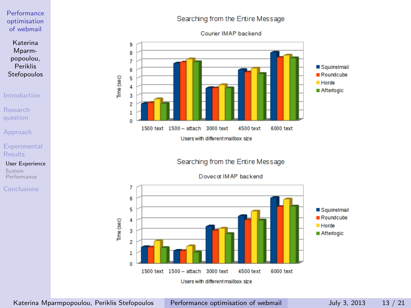Katerina Mparmpopoulou, Periklis Stefopoulos

#### [Introduction](#page-2-0)

[Research](#page-4-0) question

[Approach](#page-5-0)

**[Experimental](#page-8-0)** Results

[User Experience](#page-8-0) System [Performance](#page-15-0)

[Conclusions](#page-18-0)

#### 9 8  $\overline{7}$ Squirrelmail 6 Roundcube Time (sec) 5  $H$ orde  $\overline{a}$ Afterlogic 3 2 1 o 1500 text 1500 - attach 3000 text 4500 text 6000 text

Users with different mailbox size

Searching from the Entire Message



Searching from the Entire Message Courier IMAP backend

Katerina Mparmpopoulou, Periklis Stefopoulos [Performance optimisation of webmail](#page-0-0) July 3, 2013 13 / 21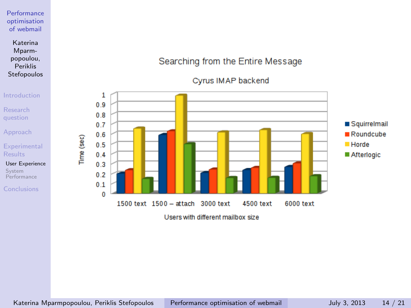#### Katerina Mparmpopoulou, Periklis Stefopoulos

#### [Introduction](#page-2-0)

[Research](#page-4-0) question

[Approach](#page-5-0)

**[Experimental](#page-8-0)** Results

[User Experience](#page-8-0) System [Performance](#page-15-0)

[Conclusions](#page-18-0)

### Searching from the Entire Message





Users with different mailbox size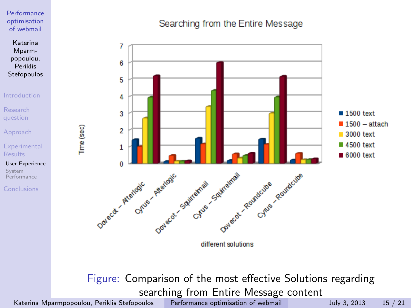

#### [Introduction](#page-2-0)

[Research](#page-4-0) question

[Approach](#page-5-0)

**[Experimental](#page-8-0)** Results

[User Experience](#page-8-0) System [Performance](#page-15-0)

[Conclusions](#page-18-0)

### Searching from the Entire Message



Figure: Comparison of the most effective Solutions regarding searching from Entire Message content

Katerina Mparmpopoulou, Periklis Stefopoulos [Performance optimisation of webmail](#page-0-0) July 3, 2013 15 / 21

Time (sec)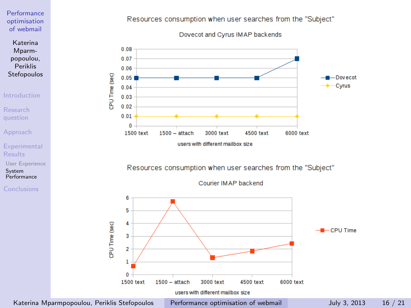

#### [Introduction](#page-2-0)

[Research](#page-4-0) question

[Approach](#page-5-0)

**[Experimental](#page-8-0)** Results

[User Experience](#page-8-0)

System [Performance](#page-15-0)

[Conclusions](#page-18-0)

#### Resources consumption when user searches from the "Subject"





#### Resources consumption when user searches from the "Subject"

Courier IMAP backend



<span id="page-15-0"></span>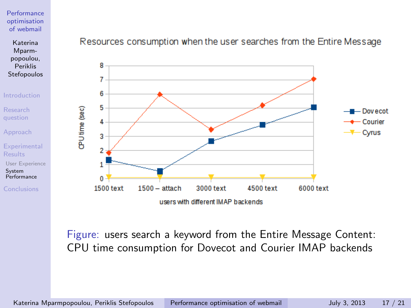

[Introduction](#page-2-0)

[Research](#page-4-0) question

[Approach](#page-5-0)

**[Experimental](#page-8-0)** Results

[User Experience](#page-8-0) System [Performance](#page-15-0)

[Conclusions](#page-18-0)

### Resources consumption when the user searches from the Entire Message



Figure: users search a keyword from the Entire Message Content: CPU time consumption for Dovecot and Courier IMAP backends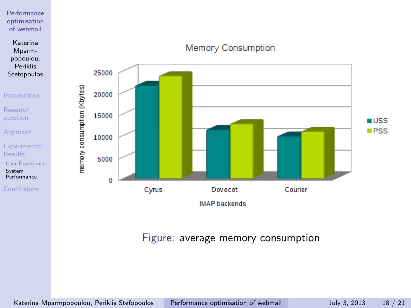Katerina Mparmpopoulou, Periklis Stefopoulos

[Introduction](#page-2-0)

memory consumption (Kbytes)

[Research](#page-4-0) question

[Approach](#page-5-0)

**[Experimental](#page-8-0)** Results

[User Experience](#page-8-0) System [Performance](#page-15-0)

[Conclusions](#page-18-0)



Memory Consumption

### Figure: average memory consumption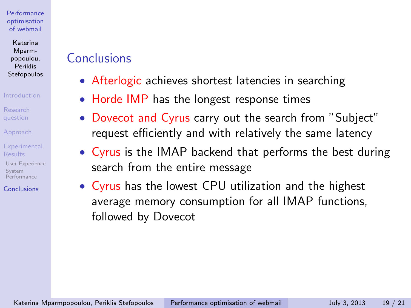Katerina Mparmpopoulou, Periklis Stefopoulos

#### [Introduction](#page-2-0)

[Approach](#page-5-0)

**[Experimental](#page-8-0)** Results

[User Experience](#page-8-0) System [Performance](#page-15-0)

[Conclusions](#page-18-0)

# Conclusions

- Afterlogic achieves shortest latencies in searching
- Horde IMP has the longest response times
- Dovecot and Cyrus carry out the search from "Subject" request efficiently and with relatively the same latency
- Cyrus is the IMAP backend that performs the best during search from the entire message
- <span id="page-18-0"></span>• Cyrus has the lowest CPU utilization and the highest average memory consumption for all IMAP functions, followed by Dovecot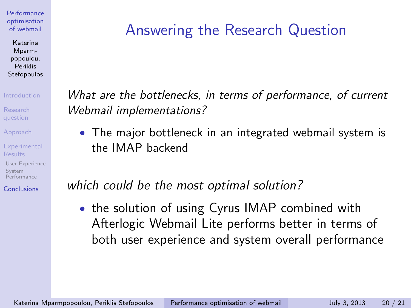Katerina Mparmpopoulou, Periklis Stefopoulos

#### [Introduction](#page-2-0)

[Research](#page-4-0)

[Approach](#page-5-0)

**[Experimental](#page-8-0)** Results

[User Experience](#page-8-0) System [Performance](#page-15-0)

[Conclusions](#page-18-0)

# Answering the Research Question

What are the bottlenecks, in terms of performance, of current Webmail implementations?

• The major bottleneck in an integrated webmail system is the IMAP backend

which could be the most optimal solution?

• the solution of using Cyrus IMAP combined with Afterlogic Webmail Lite performs better in terms of both user experience and system overall performance